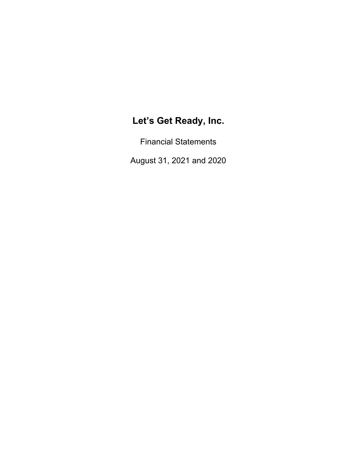Financial Statements

August 31, 2021 and 2020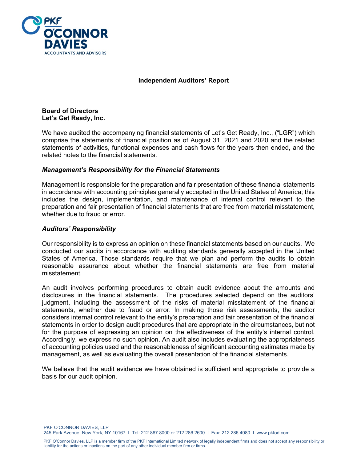

**Independent Auditors' Report** 

**Board of Directors Let's Get Ready, Inc.** 

We have audited the accompanying financial statements of Let's Get Ready, Inc., ("LGR") which comprise the statements of financial position as of August 31, 2021 and 2020 and the related statements of activities, functional expenses and cash flows for the years then ended, and the related notes to the financial statements.

# *Management's Responsibility for the Financial Statements*

Management is responsible for the preparation and fair presentation of these financial statements in accordance with accounting principles generally accepted in the United States of America; this includes the design, implementation, and maintenance of internal control relevant to the preparation and fair presentation of financial statements that are free from material misstatement, whether due to fraud or error.

# *Auditors' Responsibility*

Our responsibility is to express an opinion on these financial statements based on our audits. We conducted our audits in accordance with auditing standards generally accepted in the United States of America. Those standards require that we plan and perform the audits to obtain reasonable assurance about whether the financial statements are free from material misstatement.

An audit involves performing procedures to obtain audit evidence about the amounts and disclosures in the financial statements. The procedures selected depend on the auditors' judgment, including the assessment of the risks of material misstatement of the financial statements, whether due to fraud or error. In making those risk assessments, the auditor considers internal control relevant to the entity's preparation and fair presentation of the financial statements in order to design audit procedures that are appropriate in the circumstances, but not for the purpose of expressing an opinion on the effectiveness of the entity's internal control. Accordingly, we express no such opinion. An audit also includes evaluating the appropriateness of accounting policies used and the reasonableness of significant accounting estimates made by management, as well as evaluating the overall presentation of the financial statements.

We believe that the audit evidence we have obtained is sufficient and appropriate to provide a basis for our audit opinion.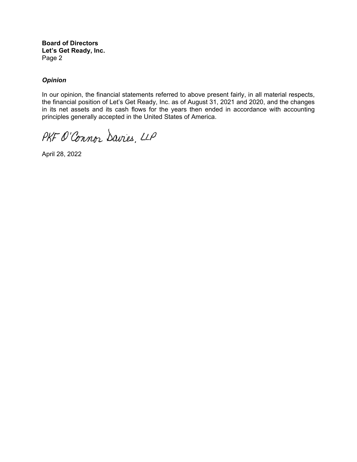**Board of Directors Let's Get Ready, Inc.**  Page 2

# *Opinion*

In our opinion, the financial statements referred to above present fairly, in all material respects, the financial position of Let's Get Ready, Inc. as of August 31, 2021 and 2020, and the changes in its net assets and its cash flows for the years then ended in accordance with accounting principles generally accepted in the United States of America.

PKF O'Connor Davies, LLP

April 28, 2022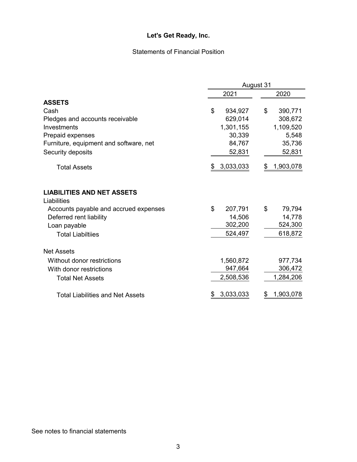# Statements of Financial Position

|                                                  | August 31       |                 |  |  |
|--------------------------------------------------|-----------------|-----------------|--|--|
|                                                  | 2021            | 2020            |  |  |
| <b>ASSETS</b>                                    |                 |                 |  |  |
| Cash                                             | \$<br>934,927   | \$<br>390,771   |  |  |
| Pledges and accounts receivable                  | 629,014         | 308,672         |  |  |
| Investments                                      | 1,301,155       | 1,109,520       |  |  |
| Prepaid expenses                                 | 30,339          | 5,548           |  |  |
| Furniture, equipment and software, net           | 84,767          | 35,736          |  |  |
| Security deposits                                | 52,831          | 52,831          |  |  |
| <b>Total Assets</b>                              | 3,033,033<br>\$ | 1,903,078<br>\$ |  |  |
| <b>LIABILITIES AND NET ASSETS</b><br>Liabilities |                 |                 |  |  |
| Accounts payable and accrued expenses            | \$<br>207,791   | \$<br>79,794    |  |  |
| Deferred rent liability                          | 14,506          | 14,778          |  |  |
| Loan payable                                     | 302,200         | 524,300         |  |  |
| <b>Total Liabiltiies</b>                         | 524,497         | 618,872         |  |  |
| <b>Net Assets</b>                                |                 |                 |  |  |
| Without donor restrictions                       | 1,560,872       | 977,734         |  |  |
| With donor restrictions                          | 947,664         | 306,472         |  |  |
| <b>Total Net Assets</b>                          | 2,508,536       | 1,284,206       |  |  |
| <b>Total Liabilities and Net Assets</b>          | 3,033,033       | 1,903,078       |  |  |

See notes to financial statements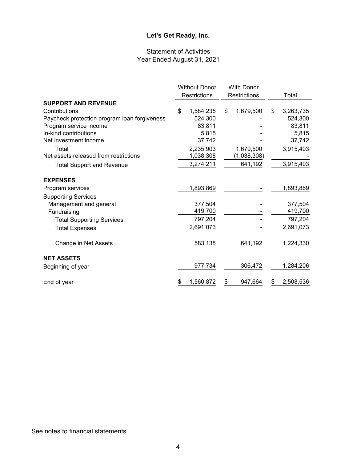# Statement of Activities Year Ended August 31, 2021

|                                              | <b>Without Donor</b> |           | <b>With Donor</b> |             |                 |
|----------------------------------------------|----------------------|-----------|-------------------|-------------|-----------------|
|                                              | Restrictions         |           | Restrictions      |             | Total           |
| <b>SUPPORT AND REVENUE</b>                   |                      |           |                   |             |                 |
| Contributions                                | \$                   | 1,584,235 | \$                | 1,679,500   | \$<br>3,263,735 |
| Paycheck protection program loan forgiveness |                      | 524,300   |                   |             | 524,300         |
| Program service income                       |                      | 83,811    |                   |             | 83,811          |
| In-kind contributions                        |                      | 5,815     |                   |             | 5,815           |
| Net investment income                        |                      | 37,742    |                   |             | 37,742          |
| Total                                        |                      | 2,235,903 |                   | 1,679,500   | 3,915,403       |
| Net assets released from restrictions        |                      | 1,038,308 |                   | (1,038,308) |                 |
| <b>Total Support and Revenue</b>             |                      | 3,274,211 |                   | 641,192     | 3,915,403       |
| <b>EXPENSES</b>                              |                      |           |                   |             |                 |
| Program services                             |                      | 1,893,869 |                   |             | 1,893,869       |
| <b>Supporting Services</b>                   |                      |           |                   |             |                 |
| Management and general                       |                      | 377,504   |                   |             | 377,504         |
| Fundraising                                  |                      | 419,700   |                   |             | 419,700         |
| <b>Total Supporting Services</b>             |                      | 797,204   |                   |             | 797,204         |
| <b>Total Expenses</b>                        |                      | 2,691,073 |                   |             | 2,691,073       |
| Change in Net Assets                         |                      | 583,138   |                   | 641,192     | 1,224,330       |
| <b>NET ASSETS</b>                            |                      |           |                   |             |                 |
| Beginning of year                            |                      | 977,734   |                   | 306,472     | 1,284,206       |
| End of year                                  | \$                   | 1,560,872 | \$                | 947,664     | \$<br>2,508,536 |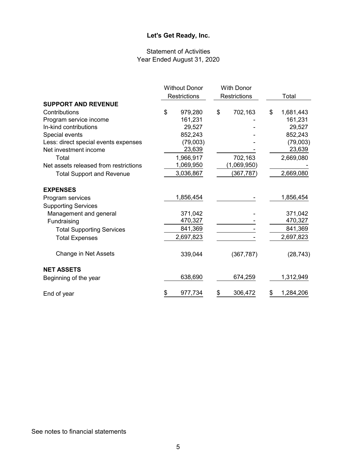# Statement of Activities Year Ended August 31, 2020

|                                       | <b>Without Donor</b> |    | <b>With Donor</b>   |    |           |
|---------------------------------------|----------------------|----|---------------------|----|-----------|
|                                       | <b>Restrictions</b>  |    | <b>Restrictions</b> |    | Total     |
| <b>SUPPORT AND REVENUE</b>            |                      |    |                     |    |           |
| Contributions                         | \$<br>979,280        | \$ | 702,163             | \$ | 1,681,443 |
| Program service income                | 161,231              |    |                     |    | 161,231   |
| In-kind contributions                 | 29,527               |    |                     |    | 29,527    |
| Special events                        | 852,243              |    |                     |    | 852,243   |
| Less: direct special events expenses  | (79,003)             |    |                     |    | (79,003)  |
| Net investment income                 | 23,639               |    |                     |    | 23,639    |
| Total                                 | 1,966,917            |    | 702,163             |    | 2,669,080 |
| Net assets released from restrictions | 1,069,950            |    | (1,069,950)         |    |           |
| <b>Total Support and Revenue</b>      | 3,036,867            |    | (367, 787)          |    | 2,669,080 |
| <b>EXPENSES</b>                       |                      |    |                     |    |           |
| Program services                      | 1,856,454            |    |                     |    | 1,856,454 |
| <b>Supporting Services</b>            |                      |    |                     |    |           |
| Management and general                | 371,042              |    |                     |    | 371,042   |
| Fundraising                           | 470,327              |    |                     |    | 470,327   |
| <b>Total Supporting Services</b>      | 841,369              |    |                     |    | 841,369   |
| <b>Total Expenses</b>                 | 2,697,823            |    |                     |    | 2,697,823 |
| Change in Net Assets                  | 339,044              |    | (367, 787)          |    | (28, 743) |
| <b>NET ASSETS</b>                     |                      |    |                     |    |           |
| Beginning of the year                 | 638,690              |    | 674,259             |    | 1,312,949 |
| End of year                           | \$<br>977,734        | \$ | 306,472             | \$ | 1,284,206 |

See notes to financial statements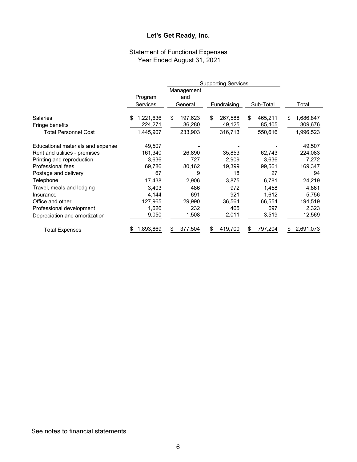# Statement of Functional Expenses Year Ended August 31, 2021

|                                   |                 | Management    |               |               |                 |
|-----------------------------------|-----------------|---------------|---------------|---------------|-----------------|
|                                   | Program         | and           |               |               |                 |
|                                   | <b>Services</b> | General       | Fundraising   | Sub-Total     | Total           |
| <b>Salaries</b>                   | 1,221,636<br>\$ | \$<br>197,623 | \$<br>267,588 | \$<br>465,211 | \$<br>1,686,847 |
| Fringe benefits                   | 224,271         | 36,280        | 49,125        | 85,405        | 309,676         |
| <b>Total Personnel Cost</b>       | 1,445,907       | 233,903       | 316,713       | 550,616       | 1,996,523       |
| Educational materials and expense | 49,507          |               |               |               | 49,507          |
| Rent and utilities - premises     | 161,340         | 26,890        | 35,853        | 62,743        | 224,083         |
| Printing and reproduction         | 3,636           | 727           | 2,909         | 3,636         | 7,272           |
| Professional fees                 | 69,786          | 80,162        | 19,399        | 99,561        | 169,347         |
| Postage and delivery              | 67              | 9             | 18            | 27            | 94              |
| Telephone                         | 17,438          | 2,906         | 3,875         | 6,781         | 24,219          |
| Travel, meals and lodging         | 3,403           | 486           | 972           | 1,458         | 4,861           |
| Insurance                         | 4,144           | 691           | 921           | 1,612         | 5,756           |
| Office and other                  | 127,965         | 29,990        | 36,564        | 66,554        | 194,519         |
| Professional development          | 1,626           | 232           | 465           | 697           | 2,323           |
| Depreciation and amortization     | 9,050           | 1,508         | 2,011         | 3,519         | 12,569          |
| Total Expenses                    | 1,893,869<br>S  | 377,504       | 419,700       | 797,204<br>\$ | 2,691,073<br>\$ |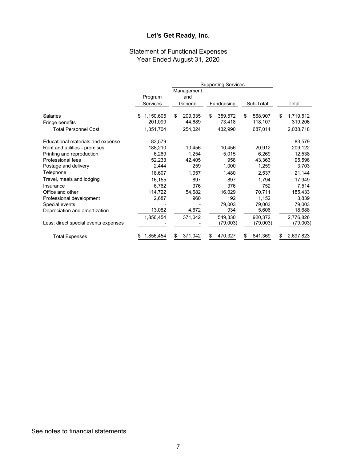#### Statement of Functional Expenses Year Ended August 31, 2020

|                                      |                 |               | <b>Supporting Services</b> |               |                 |
|--------------------------------------|-----------------|---------------|----------------------------|---------------|-----------------|
|                                      |                 | Management    |                            |               |                 |
|                                      | Program         | and           |                            |               |                 |
|                                      | <b>Services</b> | General       | Fundraising                | Sub-Total     | Total           |
| Salaries                             | 1,150,605<br>S  | \$<br>209,335 | 359,572<br>\$              | \$<br>568,907 | 1,719,512<br>\$ |
| Fringe benefits                      | 201,099         | 44,689        | 73,418                     | 118,107       | 319,206         |
| <b>Total Personnel Cost</b>          | 1,351,704       | 254,024       | 432,990                    | 687,014       | 2,038,718       |
| Educational materials and expense    | 83,579          |               |                            |               | 83,579          |
| Rent and utilities - premises        | 188,210         | 10,456        | 10,456                     | 20,912        | 209,122         |
| Printing and reproduction            | 6,269           | 1,254         | 5,015                      | 6,269         | 12,538          |
| Professional fees                    | 52,233          | 42,405        | 958                        | 43,363        | 95,596          |
| Postage and delivery                 | 2,444           | 259           | 1,000                      | 1,259         | 3,703           |
| Telephone                            | 18,607          | 1,057         | 1,480                      | 2,537         | 21,144          |
| Travel, meals and lodging            | 16,155          | 897           | 897                        | 1,794         | 17,949          |
| Insurance                            | 6,762           | 376           | 376                        | 752           | 7,514           |
| Office and other                     | 114,722         | 54,682        | 16,029                     | 70,711        | 185,433         |
| Professional development             | 2,687           | 960           | 192                        | 1,152         | 3,839           |
| Special events                       |                 |               | 79,003                     | 79,003        | 79,003          |
| Depreciation and amortization        | 13,082          | 4,672         | 934                        | 5,606         | 18,688          |
|                                      | 1,856,454       | 371,042       | 549,330                    | 920,372       | 2,776,826       |
| Less: direct special events expenses |                 |               | (79,003)                   | (79,003)      | (79,003)        |
| <b>Total Expenses</b>                | 1,856,454<br>\$ | 371,042<br>\$ | 470,327<br>\$              | 841,369       | 2,697,823       |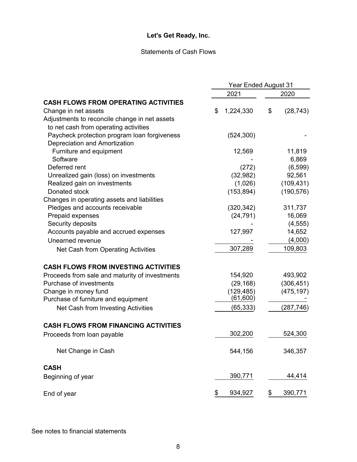# Statements of Cash Flows

|                                                | <b>Year Ended August 31</b> |            |    |            |
|------------------------------------------------|-----------------------------|------------|----|------------|
|                                                |                             | 2021       |    | 2020       |
| <b>CASH FLOWS FROM OPERATING ACTIVITIES</b>    |                             |            |    |            |
| Change in net assets                           | \$                          | 1,224,330  | \$ | (28, 743)  |
| Adjustments to reconcile change in net assets  |                             |            |    |            |
| to net cash from operating activities          |                             |            |    |            |
| Paycheck protection program loan forgiveness   |                             | (524, 300) |    |            |
| Depreciation and Amortization                  |                             |            |    |            |
| Furniture and equipment                        |                             | 12,569     |    | 11,819     |
| Software                                       |                             |            |    | 6,869      |
| Deferred rent                                  |                             | (272)      |    | (6, 599)   |
| Unrealized gain (loss) on investments          |                             | (32, 982)  |    | 92,561     |
| Realized gain on investments                   |                             | (1,026)    |    | (109, 431) |
| Donated stock                                  |                             | (153, 894) |    | (190, 576) |
| Changes in operating assets and liabilities    |                             |            |    |            |
| Pledges and accounts receivable                |                             | (320, 342) |    | 311,737    |
| Prepaid expenses                               |                             | (24, 791)  |    | 16,069     |
| Security deposits                              |                             |            |    | (4, 555)   |
| Accounts payable and accrued expenses          |                             | 127,997    |    | 14,652     |
| Unearned revenue                               |                             |            |    | (4,000)    |
| Net Cash from Operating Activities             |                             | 307,289    |    | 109,803    |
|                                                |                             |            |    |            |
| <b>CASH FLOWS FROM INVESTING ACTIVITIES</b>    |                             |            |    |            |
| Proceeds from sale and maturity of investments |                             | 154,920    |    | 493,902    |
| Purchase of investments                        |                             | (29, 168)  |    | (306, 451) |
| Change in money fund                           |                             | (129, 485) |    | (475, 197) |
| Purchase of furniture and equipment            |                             | (61,600)   |    |            |
| Net Cash from Investing Activities             |                             | (65, 333)  |    | (287, 746) |
|                                                |                             |            |    |            |
| <b>CASH FLOWS FROM FINANCING ACTIVITIES</b>    |                             |            |    |            |
| Proceeds from loan payable                     |                             | 302,200    |    | 524,300    |
| Net Change in Cash                             |                             | 544,156    |    | 346,357    |
| <b>CASH</b>                                    |                             |            |    |            |
| Beginning of year                              |                             | 390,771    |    | 44,414     |
|                                                |                             |            |    |            |
| End of year                                    | \$                          | 934,927    | \$ | 390,771    |

See notes to financial statements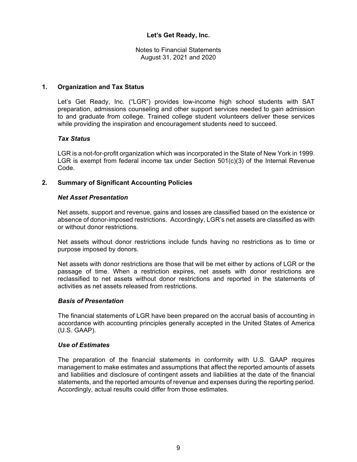Notes to Financial Statements August 31, 2021 and 2020

#### **1. Organization and Tax Status**

Let's Get Ready, Inc. ("LGR") provides low-income high school students with SAT preparation, admissions counseling and other support services needed to gain admission to and graduate from college. Trained college student volunteers deliver these services while providing the inspiration and encouragement students need to succeed.

#### *Tax Status*

LGR is a not-for-profit organization which was incorporated in the State of New York in 1999. LGR is exempt from federal income tax under Section 501(c)(3) of the Internal Revenue Code.

# **2. Summary of Significant Accounting Policies**

#### *Net Asset Presentation*

Net assets, support and revenue, gains and losses are classified based on the existence or absence of donor-imposed restrictions. Accordingly, LGR's net assets are classified as with or without donor restrictions.

Net assets without donor restrictions include funds having no restrictions as to time or purpose imposed by donors.

Net assets with donor restrictions are those that will be met either by actions of LGR or the passage of time. When a restriction expires, net assets with donor restrictions are reclassified to net assets without donor restrictions and reported in the statements of activities as net assets released from restrictions.

#### *Basis of Presentation*

The financial statements of LGR have been prepared on the accrual basis of accounting in accordance with accounting principles generally accepted in the United States of America (U.S. GAAP).

#### *Use of Estimates*

The preparation of the financial statements in conformity with U.S. GAAP requires management to make estimates and assumptions that affect the reported amounts of assets and liabilities and disclosure of contingent assets and liabilities at the date of the financial statements, and the reported amounts of revenue and expenses during the reporting period. Accordingly, actual results could differ from those estimates.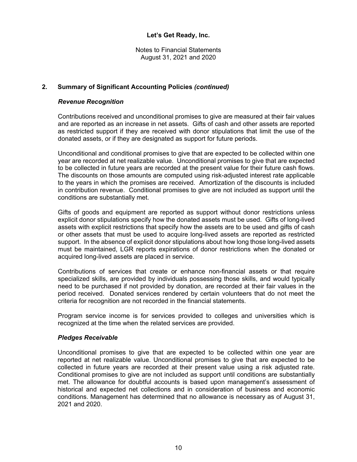Notes to Financial Statements August 31, 2021 and 2020

## **2. Summary of Significant Accounting Policies** *(continued)*

#### *Revenue Recognition*

Contributions received and unconditional promises to give are measured at their fair values and are reported as an increase in net assets. Gifts of cash and other assets are reported as restricted support if they are received with donor stipulations that limit the use of the donated assets, or if they are designated as support for future periods.

Unconditional and conditional promises to give that are expected to be collected within one year are recorded at net realizable value. Unconditional promises to give that are expected to be collected in future years are recorded at the present value for their future cash flows. The discounts on those amounts are computed using risk-adjusted interest rate applicable to the years in which the promises are received. Amortization of the discounts is included in contribution revenue. Conditional promises to give are not included as support until the conditions are substantially met.

Gifts of goods and equipment are reported as support without donor restrictions unless explicit donor stipulations specify how the donated assets must be used. Gifts of long-lived assets with explicit restrictions that specify how the assets are to be used and gifts of cash or other assets that must be used to acquire long-lived assets are reported as restricted support. In the absence of explicit donor stipulations about how long those long-lived assets must be maintained, LGR reports expirations of donor restrictions when the donated or acquired long-lived assets are placed in service.

Contributions of services that create or enhance non-financial assets or that require specialized skills, are provided by individuals possessing those skills, and would typically need to be purchased if not provided by donation, are recorded at their fair values in the period received. Donated services rendered by certain volunteers that do not meet the criteria for recognition are not recorded in the financial statements.

Program service income is for services provided to colleges and universities which is recognized at the time when the related services are provided.

#### *Pledges Receivable*

Unconditional promises to give that are expected to be collected within one year are reported at net realizable value. Unconditional promises to give that are expected to be collected in future years are recorded at their present value using a risk adjusted rate. Conditional promises to give are not included as support until conditions are substantially met. The allowance for doubtful accounts is based upon management's assessment of historical and expected net collections and in consideration of business and economic conditions. Management has determined that no allowance is necessary as of August 31, 2021 and 2020.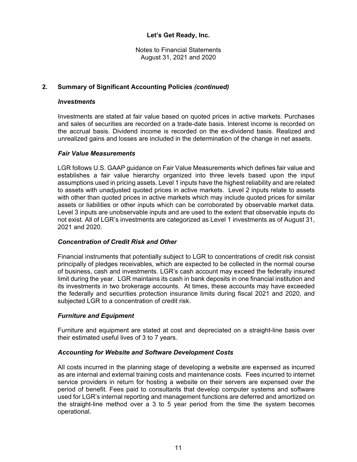Notes to Financial Statements August 31, 2021 and 2020

# **2. Summary of Significant Accounting Policies** *(continued)*

#### *Investments*

Investments are stated at fair value based on quoted prices in active markets. Purchases and sales of securities are recorded on a trade-date basis. Interest income is recorded on the accrual basis. Dividend income is recorded on the ex-dividend basis. Realized and unrealized gains and losses are included in the determination of the change in net assets.

#### *Fair Value Measurements*

LGR follows U.S. GAAP guidance on Fair Value Measurements which defines fair value and establishes a fair value hierarchy organized into three levels based upon the input assumptions used in pricing assets. Level 1 inputs have the highest reliability and are related to assets with unadjusted quoted prices in active markets. Level 2 inputs relate to assets with other than quoted prices in active markets which may include quoted prices for similar assets or liabilities or other inputs which can be corroborated by observable market data. Level 3 inputs are unobservable inputs and are used to the extent that observable inputs do not exist. All of LGR's investments are categorized as Level 1 investments as of August 31, 2021 and 2020.

# *Concentration of Credit Risk and Other*

Financial instruments that potentially subject to LGR to concentrations of credit risk consist principally of pledges receivables, which are expected to be collected in the normal course of business, cash and investments. LGR's cash account may exceed the federally insured limit during the year. LGR maintains its cash in bank deposits in one financial institution and its investments in two brokerage accounts. At times, these accounts may have exceeded the federally and securities protection insurance limits during fiscal 2021 and 2020, and subjected LGR to a concentration of credit risk.

# *Furniture and Equipment*

Furniture and equipment are stated at cost and depreciated on a straight-line basis over their estimated useful lives of 3 to 7 years.

# *Accounting for Website and Software Development Costs*

All costs incurred in the planning stage of developing a website are expensed as incurred as are internal and external training costs and maintenance costs. Fees incurred to internet service providers in return for hosting a website on their servers are expensed over the period of benefit. Fees paid to consultants that develop computer systems and software used for LGR's internal reporting and management functions are deferred and amortized on the straight-line method over a 3 to 5 year period from the time the system becomes operational.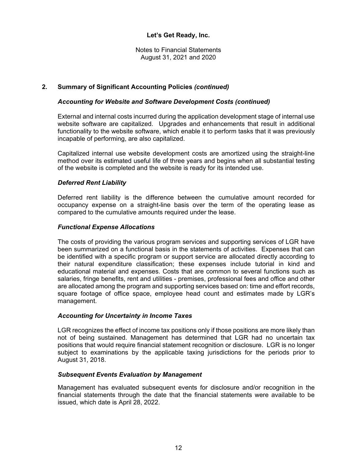Notes to Financial Statements August 31, 2021 and 2020

# **2. Summary of Significant Accounting Policies** *(continued)*

## *Accounting for Website and Software Development Costs (continued)*

External and internal costs incurred during the application development stage of internal use website software are capitalized. Upgrades and enhancements that result in additional functionality to the website software, which enable it to perform tasks that it was previously incapable of performing, are also capitalized.

Capitalized internal use website development costs are amortized using the straight-line method over its estimated useful life of three years and begins when all substantial testing of the website is completed and the website is ready for its intended use.

#### *Deferred Rent Liability*

Deferred rent liability is the difference between the cumulative amount recorded for occupancy expense on a straight-line basis over the term of the operating lease as compared to the cumulative amounts required under the lease.

#### *Functional Expense Allocations*

The costs of providing the various program services and supporting services of LGR have been summarized on a functional basis in the statements of activities. Expenses that can be identified with a specific program or support service are allocated directly according to their natural expenditure classification; these expenses include tutorial in kind and educational material and expenses. Costs that are common to several functions such as salaries, fringe benefits, rent and utilities - premises, professional fees and office and other are allocated among the program and supporting services based on: time and effort records, square footage of office space, employee head count and estimates made by LGR's management.

#### *Accounting for Uncertainty in Income Taxes*

LGR recognizes the effect of income tax positions only if those positions are more likely than not of being sustained. Management has determined that LGR had no uncertain tax positions that would require financial statement recognition or disclosure. LGR is no longer subject to examinations by the applicable taxing jurisdictions for the periods prior to August 31, 2018.

#### *Subsequent Events Evaluation by Management*

Management has evaluated subsequent events for disclosure and/or recognition in the financial statements through the date that the financial statements were available to be issued, which date is April 28, 2022.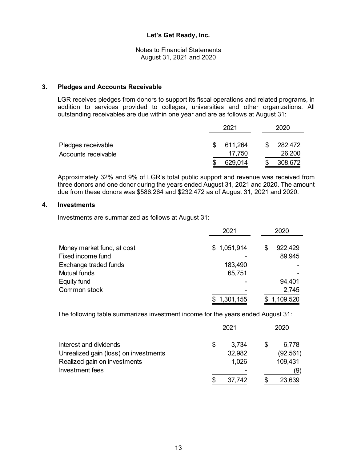Notes to Financial Statements August 31, 2021 and 2020

#### **3. Pledges and Accounts Receivable**

LGR receives pledges from donors to support its fiscal operations and related programs, in addition to services provided to colleges, universities and other organizations. All outstanding receivables are due within one year and are as follows at August 31:

|                                           | 2021 |                   | 2020              |  |
|-------------------------------------------|------|-------------------|-------------------|--|
| Pledges receivable<br>Accounts receivable | \$.  | 611,264<br>17,750 | 282,472<br>26,200 |  |
|                                           |      | 629,014           | 308,672           |  |

Approximately 32% and 9% of LGR's total public support and revenue was received from three donors and one donor during the years ended August 31, 2021 and 2020. The amount due from these donors was \$586,264 and \$232,472 as of August 31, 2021 and 2020.

#### **4. Investments**

Investments are summarized as follows at August 31:

|                            | 2021        |   | 2020      |  |
|----------------------------|-------------|---|-----------|--|
|                            |             |   |           |  |
| Money market fund, at cost | \$1,051,914 | S | 922,429   |  |
| Fixed income fund          |             |   | 89,945    |  |
| Exchange traded funds      | 183,490     |   |           |  |
| <b>Mutual funds</b>        | 65,751      |   |           |  |
| Equity fund                |             |   | 94,401    |  |
| Common stock               |             |   | 2,745     |  |
|                            | 1,301,155   |   | 1,109,520 |  |

The following table summarizes investment income for the years ended August 31:

|                                       | 2021 |        | 2020      |  |
|---------------------------------------|------|--------|-----------|--|
| Interest and dividends                | \$   | 3,734  | 6,778     |  |
| Unrealized gain (loss) on investments |      | 32,982 | (92, 561) |  |
| Realized gain on investments          |      | 1,026  | 109,431   |  |
| Investment fees                       |      |        | (9)       |  |
|                                       |      | 37,742 | 23,639    |  |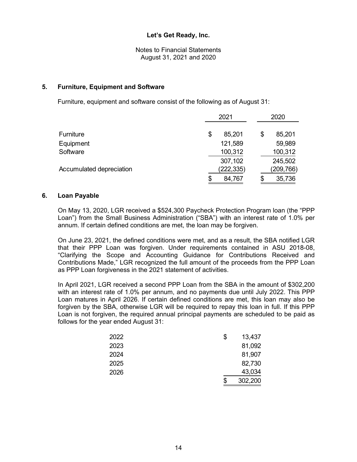Notes to Financial Statements August 31, 2021 and 2020

## **5. Furniture, Equipment and Software**

Furniture, equipment and software consist of the following as of August 31:

| <b>Furniture</b>         |    | 2021      | 2020         |  |  |
|--------------------------|----|-----------|--------------|--|--|
|                          |    | 85,201    | \$<br>85,201 |  |  |
| Equipment                |    | 121,589   | 59,989       |  |  |
| Software                 |    | 100,312   | 100,312      |  |  |
|                          |    | 307,102   | 245,502      |  |  |
| Accumulated depreciation |    | (222,335) | (209,766)    |  |  |
|                          | \$ | 84,767    | 35,736       |  |  |

#### **6. Loan Payable**

On May 13, 2020, LGR received a \$524,300 Paycheck Protection Program loan (the "PPP Loan") from the Small Business Administration ("SBA") with an interest rate of 1.0% per annum. If certain defined conditions are met, the loan may be forgiven.

On June 23, 2021, the defined conditions were met, and as a result, the SBA notified LGR that their PPP Loan was forgiven. Under requirements contained in ASU 2018-08, "Clarifying the Scope and Accounting Guidance for Contributions Received and Contributions Made," LGR recognized the full amount of the proceeds from the PPP Loan as PPP Loan forgiveness in the 2021 statement of activities.

In April 2021, LGR received a second PPP Loan from the SBA in the amount of \$302,200 with an interest rate of 1.0% per annum, and no payments due until July 2022. This PPP Loan matures in April 2026. If certain defined conditions are met, this loan may also be forgiven by the SBA, otherwise LGR will be required to repay this loan in full. If this PPP Loan is not forgiven, the required annual principal payments are scheduled to be paid as follows for the year ended August 31:

| 2022 | \$<br>13,437  |
|------|---------------|
| 2023 | 81,092        |
| 2024 | 81,907        |
| 2025 | 82,730        |
| 2026 | 43,034        |
|      | \$<br>302,200 |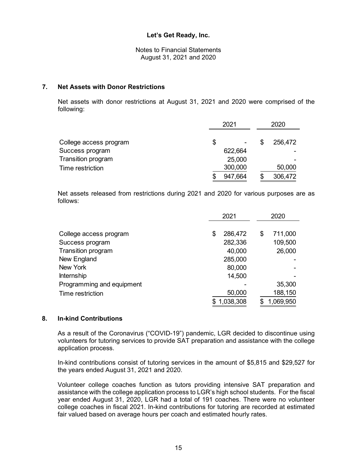Notes to Financial Statements August 31, 2021 and 2020

#### **7. Net Assets with Donor Restrictions**

Net assets with donor restrictions at August 31, 2021 and 2020 were comprised of the following:

|                        | 2021                 |  | 2020           |  |
|------------------------|----------------------|--|----------------|--|
| College access program | \$<br>$\blacksquare$ |  | 256,472        |  |
| Success program        | 622,664              |  | $\blacksquare$ |  |
| Transition program     | 25,000               |  | -              |  |
| Time restriction       | 300,000              |  | 50,000         |  |
|                        | 947,664              |  | 306,472        |  |

Net assets released from restrictions during 2021 and 2020 for various purposes are as follows:

|                           | 2021 |           | 2020          |  |
|---------------------------|------|-----------|---------------|--|
|                           |      |           |               |  |
| College access program    | \$   | 286,472   | \$<br>711,000 |  |
| Success program           |      | 282,336   | 109,500       |  |
| Transition program        |      | 40,000    | 26,000        |  |
| New England               |      | 285,000   |               |  |
| New York                  |      | 80,000    |               |  |
| <b>Internship</b>         |      | 14,500    |               |  |
| Programming and equipment |      |           | 35,300        |  |
| Time restriction          |      | 50,000    | 188,150       |  |
|                           |      | 1,038,308 | 1,069,950     |  |

# **8. In-kind Contributions**

As a result of the Coronavirus ("COVID-19") pandemic, LGR decided to discontinue using volunteers for tutoring services to provide SAT preparation and assistance with the college application process.

In-kind contributions consist of tutoring services in the amount of \$5,815 and \$29,527 for the years ended August 31, 2021 and 2020.

Volunteer college coaches function as tutors providing intensive SAT preparation and assistance with the college application process to LGR's high school students. For the fiscal year ended August 31, 2020, LGR had a total of 191 coaches. There were no volunteer college coaches in fiscal 2021. In-kind contributions for tutoring are recorded at estimated fair valued based on average hours per coach and estimated hourly rates.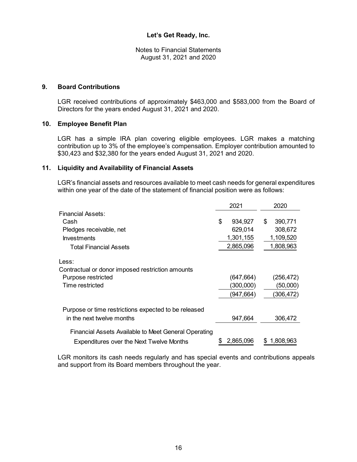Notes to Financial Statements August 31, 2021 and 2020

#### **9. Board Contributions**

LGR received contributions of approximately \$463,000 and \$583,000 from the Board of Directors for the years ended August 31, 2021 and 2020.

#### **10. Employee Benefit Plan**

LGR has a simple IRA plan covering eligible employees. LGR makes a matching contribution up to 3% of the employee's compensation. Employer contribution amounted to \$30,423 and \$32,380 for the years ended August 31, 2021 and 2020.

#### **11. Liquidity and Availability of Financial Assets**

LGR's financial assets and resources available to meet cash needs for general expenditures within one year of the date of the statement of financial position were as follows:

|                                                      | 2021 |            | 2020 |             |
|------------------------------------------------------|------|------------|------|-------------|
| Financial Assets:                                    |      |            |      |             |
| Cash                                                 | \$   | 934,927    | \$   | 390,771     |
| Pledges receivable, net                              |      | 629,014    |      | 308,672     |
| <b>Investments</b>                                   |      | 1,301,155  |      | 1,109,520   |
| <b>Total Financial Assets</b>                        |      | 2,865,096  |      | 1,808,963   |
| Less:                                                |      |            |      |             |
| Contractual or donor imposed restriction amounts     |      |            |      |             |
| Purpose restricted                                   |      | (647, 664) |      | (256, 472)  |
| Time restricted                                      |      | (300,000)  |      | (50,000)    |
|                                                      |      | (947,664)  |      | (306, 472)  |
| Purpose or time restrictions expected to be released |      |            |      |             |
| in the next twelve months                            |      | 947,664    |      | 306,472     |
| Financial Assets Available to Meet General Operating |      |            |      |             |
| Expenditures over the Next Twelve Months             | S    | 2,865,096  |      | \$1,808,963 |

LGR monitors its cash needs regularly and has special events and contributions appeals and support from its Board members throughout the year.